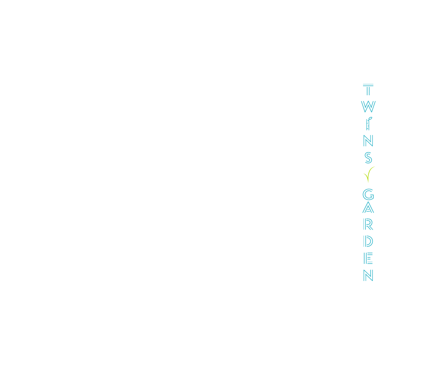$\overline{\mathbb{T}}$  $\mathbb{W}$  $\begin{bmatrix} 1 & 1 \\ 1 & 1 \end{bmatrix}$  $\sqrt{S}$  $\sqrt{}$  $\overline{\mathbb{G}}$  $\frac{1}{\sqrt{2}}$  $\mathbb{D}$  $\parallel \stackrel{=}{\equiv}$  $\mathbb{N}$